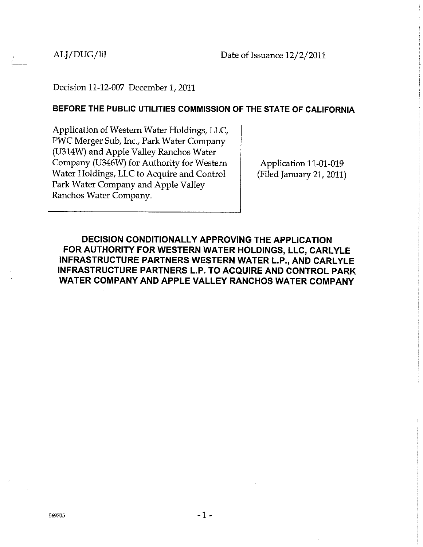## Decision 11-12-007 December 1, 2011

#### **BEFORE THE PUBLIC UTILITIES COMMISSION OF THE STATE OF CALIFORNIA**

Application of Western Water Holdings, LLC, PWC Merger Sub, Inc., Park Water Company (U314W) and Apple Valley Ranchos Water Company (U346W) for Authority for Western Water Holdings, LLC to Acquire and Control Park Water Company and Apple Valley Ranchos Water Company.

Application 11-01-019 (Filed January 21, 2011)

**DECISION CONDITIONALLY APPROVING THE APPLICATION FOR AUTHORITY FOR WESTERN WATER HOLDINGS, LLC, CARLYLE INFRASTRUCTURE PARTNERS WESTERN WATER L.P., AND CARLYLE INFRASTRUCTURE PARTNERS L.P. TO ACQUIRE AND CONTROL PARK WATER COMPANY AND APPLE VALLEY RANCHOS WATER COMPANY**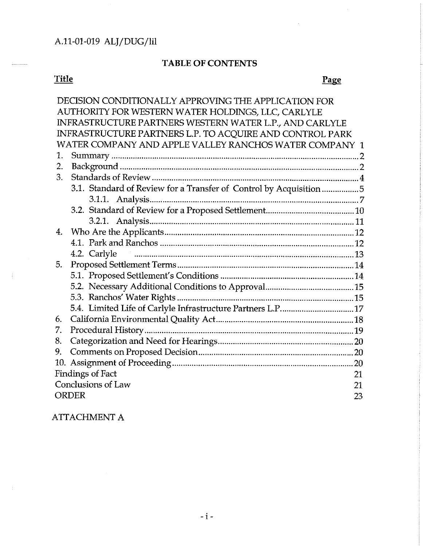# **TABLE OF CONTENTS**

# **Title**

 $\hat{f}$ 

# Page

| DECISION CONDITIONALLY APPROVING THE APPLICATION FOR<br>AUTHORITY FOR WESTERN WATER HOLDINGS, LLC, CARLYLE |                                                                    |
|------------------------------------------------------------------------------------------------------------|--------------------------------------------------------------------|
|                                                                                                            | INFRASTRUCTURE PARTNERS WESTERN WATER L.P., AND CARLYLE            |
|                                                                                                            | INFRASTRUCTURE PARTNERS L.P. TO ACQUIRE AND CONTROL PARK           |
| WATER COMPANY AND APPLE VALLEY RANCHOS WATER COMPANY 1                                                     |                                                                    |
| 1.                                                                                                         |                                                                    |
| 2.                                                                                                         |                                                                    |
| 3.                                                                                                         |                                                                    |
|                                                                                                            | 3.1. Standard of Review for a Transfer of Control by Acquisition 5 |
|                                                                                                            |                                                                    |
|                                                                                                            |                                                                    |
|                                                                                                            |                                                                    |
| 4.                                                                                                         |                                                                    |
|                                                                                                            |                                                                    |
|                                                                                                            | 4.2. Carlyle                                                       |
| 5.                                                                                                         |                                                                    |
|                                                                                                            |                                                                    |
|                                                                                                            |                                                                    |
|                                                                                                            |                                                                    |
|                                                                                                            | 5.4. Limited Life of Carlyle Infrastructure Partners L.P17         |
| 6.                                                                                                         |                                                                    |
| 7.                                                                                                         |                                                                    |
| 8.                                                                                                         |                                                                    |
| 9.                                                                                                         |                                                                    |
|                                                                                                            |                                                                    |
| <b>Findings of Fact</b><br>21                                                                              |                                                                    |
| Conclusions of Law<br>21                                                                                   |                                                                    |
| <b>ORDER</b><br>23                                                                                         |                                                                    |

# ATTACHMENT A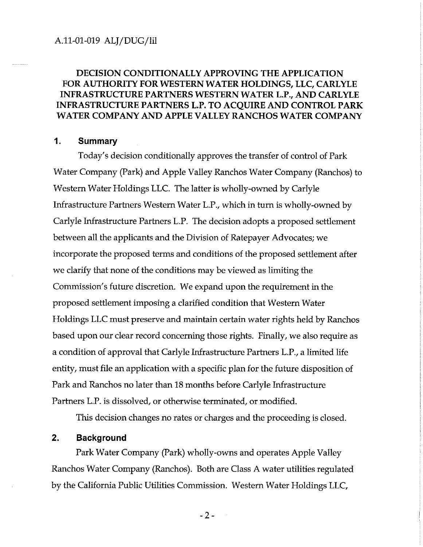## **DECISION CONDITIONALLY APPROVING THE APPLICATION FOR AUTHORITY FOR WESTERN WATER HOLDINGS, LLC, CARLYLE INFRASTRUCTURE PARTNERS WESTERN WATER L.P., AND CARLYLE INFRASTRUCTURE PARTNERS L.P. TO ACQUIRE AND CONTROL PARK WATER COMPANY AND APPLE VALLEY RANCHOS WATER COMPANY**

#### **1. Summary**

Today's decision conditionally approves the transfer of control of Park Water Company (Park) and Apple Valley Ranchos Water Company (Ranchos) to Western Water Holdings LLC. The latter is wholly-owned by Carlyle Infrastructure Partners Western Water L.P., which in turn is wholly-owned by Carlyle Infrastructure Partners L.P. The decision adopts a proposed settlement between all the applicants and the Division of Ratepayer Advocates; we incorporate the proposed terms and conditions of the proposed settlement after we clarify that none of the conditions may be viewed as limiting the Commission's future discretion. We expand upon the requirement in the proposed settlement imposing a clarified condition that Western Water Holdings LLC must preserve and maintain certain water rights held by Ranchos based upon our clear record concerning those rights. Finally, we also require as a condition of approval that Carlyle Infrastructure Partners L.P., a limited life entity, must file an application with a specific plan for the future disposition of Park and Ranchos no later than 18 months before Carlyle Infrastructure Partners L.P. is dissolved, or otherwise terminated, or modified.

This decision changes no rates or charges and the proceeding is closed.

#### **2. Background**

Park Water Company (Park) wholly-owns and operates Apple Valley Ranchos Water Company (Ranchos). Both are Class A water utilities regulated by the California Public Utilities Commission. Western Water Holdings LLC,

-2-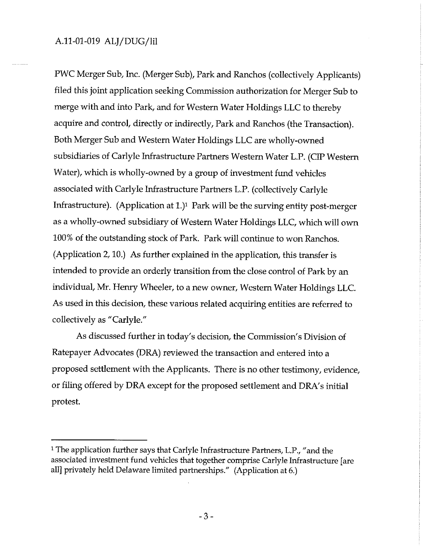PWC Merger Sub, Inc. (Merger Sub), Park and Ranchos (collectively Applicants) filed this joint application seeking Commission authorization for Merger Sub to merge with and into Park, and for Western Water Holdings LLC to thereby acquire and control, directly or indirectly, Park and Ranchos (the Transaction). Both Merger Sub and Western Water Holdings LLC are wholly-owned subsidiaries of Carlyle Infrastructure Partners Western Water L.P. (CIP Western Water), which is wholly-owned by a group of investment fund vehicles associated with Carlyle Infrastructure Partners L.P. (collectively Carlyle Infrastructure). (Application at 1.)1 Park will be the surving entity post-merger as a wholly-owned subsidiary of Western Water Holdings LLC, which will own 100% of the outstanding stock of Park. Park will continue to won Ranchos. (Application 2, 10.) As further explained in the application, this transfer is intended to provide an orderly transition from the close control of Park by an individual, Mr. Henry Wheeler, to a new owner, Western Water Holdings LLC. As used in this decision, these various related acquiring entities are referred to collectively as "Carlyle."

As discussed further in today's decision, the Commission's Division of Ratepayer Advocates (DRA) reviewed the transaction and entered into a proposed settlement with the Applicants. There is no other testimony, evidence, or filing offered by DRA except for the proposed settlement and DRA's initial protest.

<sup>&</sup>lt;sup>1</sup> The application further says that Carlyle Infrastructure Partners, L.P., "and the associated investment fund vehicles that together comprise Carlyle Infrastructure [are all] privately held Delaware limited partnerships." (Application at 6.)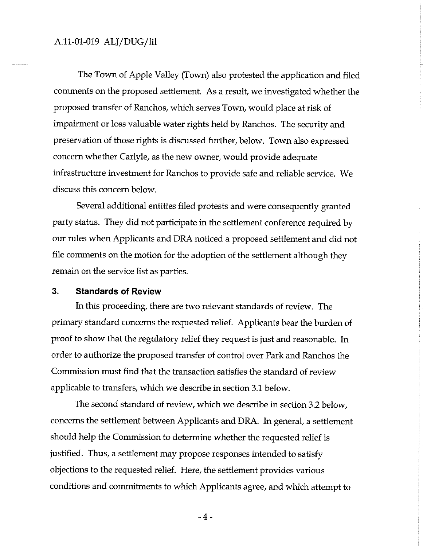The Town of Apple Valley (Town) also protested the application and filed comments on the proposed settlement. As a result, we investigated whether the proposed transfer of Ranchos, which serves Town, would place at risk of impairment or loss valuable water rights held by Ranchos. The security and preservation of those rights is discussed further, below. Town also expressed concern whether Carlyle, as the new owner, would provide adequate infrastructure investment for Ranchos to provide safe and reliable service. We discuss this concern below.

Several additional entities filed protests and were consequently granted party status. They did not participate in the settlement conference required by our rules when Applicants and DRA noticed a proposed settlement and did not file comments on the motion for the adoption of the settlement although they remain on the service list as parties.

#### 3. **Standards of Review**

In this proceeding, there are two relevant standards of review. The primary standard concerns the requested relief. Applicants bear the burden of proof to show that the regulatory relief they request is just and reasonable. In order to authorize the proposed transfer of control over Park and Ranchos the Commission must find that the transaction satisfies the standard of review applicable to transfers, which we describe in section 3.1 below.

The second standard of review, which we describe in section 3.2 below, concerns the settlement between Applicants and DRA. In general, a settlement should help the Commission to determine whether the requested relief is justified. Thus, a settlement may propose responses intended to satisfy objections to the requested relief. Here, the settlement provides various conditions and commitments to which Applicants agree, and which attempt to

-4-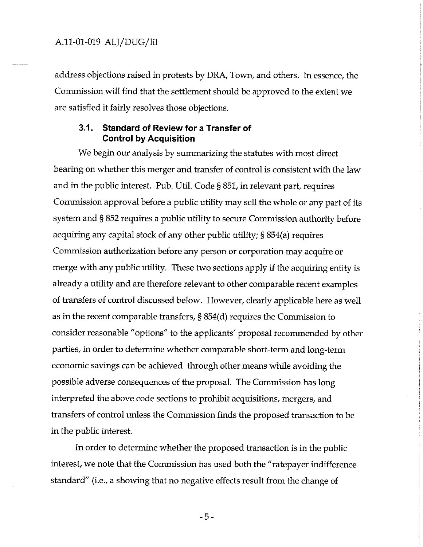address objections raised in protests by DRA, Town, and others. In essence, the Commission will find that the settlement should be approved to the extent we are satisfied it fairly resolves those objections.

#### **3.1. Standard of Review for a Transfer of Control by Acquisition**

We begin our analysis by summarizing the statutes with most direct bearing on whether this merger and transfer of control is consistent with the law and in the public interest. Pub. Util. Code § 851, in relevant part, requires Commission approval before a public utility may sell the whole or any part of its system and § 852 requires a public utility to secure Commission authority before acquiring any capital stock of any other public utility;§ 854(a) requires Commission authorization before any person or corporation may acquire or merge with any public utility. These two sections apply if the acquiring entity is already a utility and are therefore relevant to other comparable recent examples of transfers of control discussed below. However, clearly applicable here as well as in the recent comparable transfers, § 854(d) requires the Commission to consider reasonable "options" to the applicants' proposal recommended by other parties, in order to determine whether comparable short-term and long-term economic savings can be achieved through other means while avoiding the possible adverse consequences of the proposal. The Commission has long interpreted the above code sections to prohibit acquisitions, mergers, and transfers of control unless the Commission finds the proposed transaction to be in the public interest.

In order to determine whether the proposed transaction is in the public interest, we note that the Commission has used both the "ratepayer indifference standard" (i.e., a showing that no negative effects result from the change of

-5-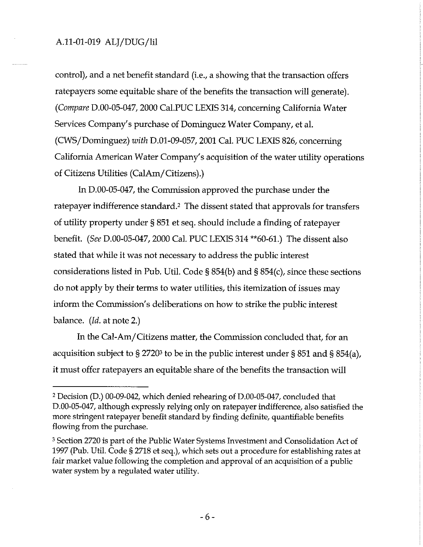control), and a net benefit standard (i.e., a showing that the transaction offers ratepayers some equitable share of the benefits the transaction will generate). *(Compare* D.00-05-047, 2000 Cal.PUC LEXIS 314, concerning California Water Services Company's purchase of Dominguez Water Company, et al. (CWS/Dominguez) *with* D.01-09-057, 2001 Cal. PUC LEXIS 826, concerning California American Water Company's acquisition of the water utility operations of Citizens Utilities (CalAm/Citizens).)

In D.00-05-047, the Commission approved the purchase under the ratepayer indifference standard.<sup>2</sup> The dissent stated that approvals for transfers of utility property under § 851 et seq. should include a finding of ratepayer benefit. *(See* D.00-05-047, 2000 Cal. PUC LEXIS 314 \*\*60-61.) The dissent also stated that while it was not necessary to address the public interest considerations listed in Pub. Util. Code§ 854(b) and§ 854(c), since these sections do not apply by their terms to water utilities, this itemization of issues may inform the Commission's deliberations on how to strike the public interest balance. *(Id.* at note 2.)

In the Cal-Am/Citizens matter, the Commission concluded that, for an acquisition subject to § 2720<sup>3</sup> to be in the public interest under § 851 and § 854(a), it must offer ratepayers an equitable share of the benefits the transaction will

<sup>2</sup> Decision (D.) 00-09-042, which denied rehearing of D.00-05-047, concluded that D.00-05-047, although expressly relying only on ratepayer indifference, also satisfied the more stringent ratepayer benefit standard by finding definite, quantifiable benefits flowing from the purchase.

<sup>3</sup> Section 2720 is part of the Public Water Systems Investment and Consolidation Act of 1997 (Pub. Util. Code§ 2718 et seq.), which sets out a procedure for establishing rates at fair market value following the completion and approval of an acquisition of a public water system by a regulated water utility.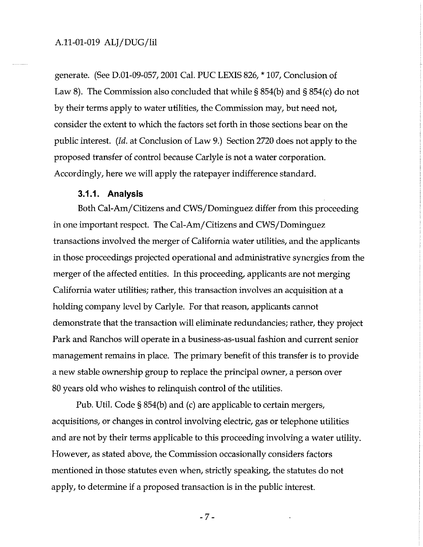generate. (See D.01-09-057, 2001 Cal. PUC LEXIS 826, \* 107, Conclusion of Law 8). The Commission also concluded that while § 854(b) and § 854(c) do not by their terms apply to water utilities, the Commission may, but need not, consider the extent to which the factors set forth in those sections bear on the public interest. *(Id.* at Conclusion of Law 9.) Section 2720 does not apply to the proposed transfer of control because Carlyle is not a water corporation. Accordingly, here we will apply the ratepayer indifference standard.

#### **3.1.1. Analysis**

Both Cal-Am/Citizens and CWS/Dominguez differ from this proceeding in one important respect. The Cal-Am/Citizens and CWS/Dominguez transactions involved the merger of California water utilities, and the applicants in those proceedings projected operational and administrative synergies from the merger of the affected entities. In this proceeding, applicants are not merging California water utilities; rather, this transaction involves an acquisition at a holding company level by Carlyle. For that reason, applicants cannot demonstrate that the transaction will eliminate redundancies; rather, they project Park and Ranchos will operate in a business-as-usual fashion and current senior management remains in place. The primary benefit of this transfer is to provide a new stable ownership group to replace the principal owner, a person over 80 years old who wishes to relinquish control of the utilities.

Pub. Util. Code§ 854(b) and (c) are applicable to certain mergers, acquisitions, or changes in control involving electric, gas or telephone utilities and are not by their terms applicable to this proceeding involving a water utility. However, as stated above, the Commission occasionally considers factors mentioned in those statutes even when, strictly speaking, the statutes do not apply, to determine if a proposed transaction is in the public interest.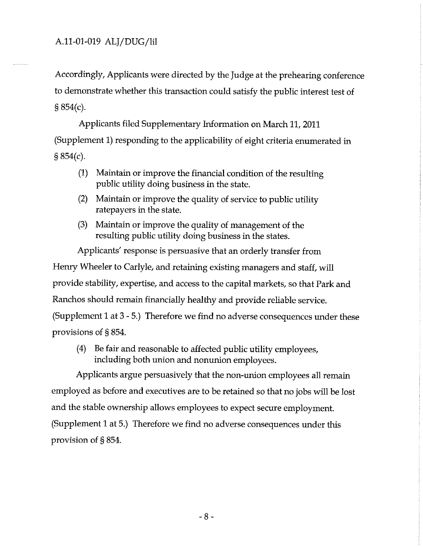Accordingly, Applicants were directed by the Judge at the prehearing conference to demonstrate whether this transaction could satisfy the public interest test of § 854(c).

Applicants filed Supplementary Information on March 11, 2011 (Supplement 1) responding to the applicability of eight criteria enumerated in § 854(c).

- (1) Maintain or improve the financial condition of the resulting public utility doing business in the state.
- (2) Maintain or improve the quality of service to public utility ratepayers in the state.
- (3) Maintain or improve the quality of management of the resulting public utility doing business in the states.

Applicants' response is persuasive that an orderly transfer from Henry Wheeler to Carlyle, and retaining existing managers and staff, will provide stability, expertise, and access to the capital markets, so that Park and Ranchos should remain financially healthy and provide reliable service. (Supplement 1 at 3 - 5.) Therefore we find no adverse consequences under these provisions of § 854.

(4) Be fair and reasonable to affected public utility employees, including both union and nonunion employees.

Applicants argue persuasively that the non-union employees all remain employed as before and executives are to be retained so that no jobs will be lost and the stable ownership allows employees to expect secure employment. (Supplement 1 at 5.) Therefore we find no adverse consequences under this provision of § 854.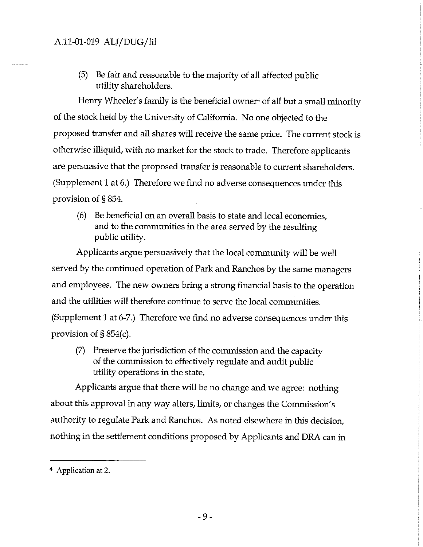(5) Be fair and reasonable to the majority of all affected public utility shareholders.

Henry Wheeler's family is the beneficial owner<sup>4</sup> of all but a small minority of the stock held by the University of California. No one objected to the proposed transfer and all shares will receive the same price. The current stock is otherwise illiquid, with no market for the stock to trade. Therefore applicants are persuasive that the proposed transfer is reasonable to current shareholders. (Supplement 1 at 6.) Therefore we find no adverse consequences under this provision of § 854.

(6) Be beneficial on an overall basis to state and local economies, and to the communities in the area served by the resulting public utility.

Applicants argue persuasively that the local community will be well served by the continued operation of Park and Ranchos by the same managers and employees. The new owners bring a strong financial basis to the operation and the utilities will therefore continue to serve the local communities. (Supplement 1 at 6-7.) Therefore we find no adverse consequences under this provision of§ 854(c).

(7) Preserve the jurisdiction of the commission and the capacity of the commission to effectively regulate and audit public utility operations in the state.

Applicants argue that there will be no change and we agree: nothing about this approval in any way alters, limits, or changes the Commission's authority to regulate Park and Ranchos. As noted elsewhere in this decision, nothing in the settlement conditions proposed by Applicants and DRA can in

<sup>4</sup> Application at 2.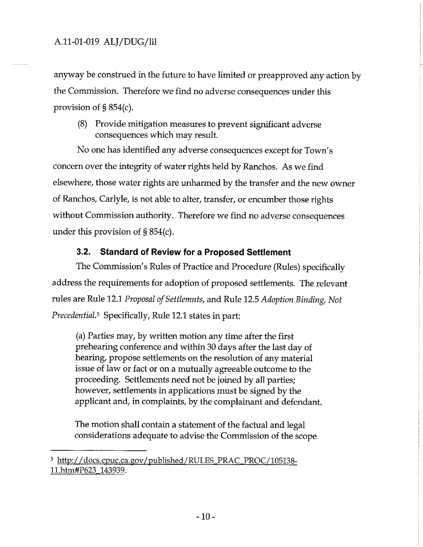anyway be construed in the future to have limited or preapproved any action by the Commission. Therefore we find no adverse consequences under this provision of§ 854(c).

(8) Provide mitigation measures to prevent significant adverse consequences which may result.

No one has identified any adverse consequences except for Town's concern over the integrity of water rights held by Ranchos. As we find elsewhere, those water rights are unharmed by the transfer and the new owner of Ranchos, Carlyle, is not able to alter, transfer, or encumber those rights without Commission authority. Therefore we find no adverse consequences under this provision of§ 854(c).

## 3.2. **Standard of Review for a Proposed Settlement**

The Commission's Rules of Practice and Procedure (Rules) specifically address the requirements for adoption of proposed settlements. The relevant rules are Rule 12.1 *Proposal of Settlemnts,* and Rule 12.5 *Adoption Binding, Not Precedential.<sup>5</sup>* Specifically, Rule 12.1 states in part:

(a) Parties may, by written motion any time after the first prehearing conference and within 30 days after the last day of hearing, propose settlements on the resolution of any material issue of law or fact or on a mutually agreeable outcome to the proceeding. Settlements need not be joined by all parties; however, settlements in applications must be signed by the applicant and, in complaints, by the complainant and defendant.

The motion shall contain a statement of the factual and legal considerations adequate to advise the Commission of the scope

s http://docs.cpuc.ca.gov/published/RULES PRAC PROC/105138- 11.htm#P623 143939.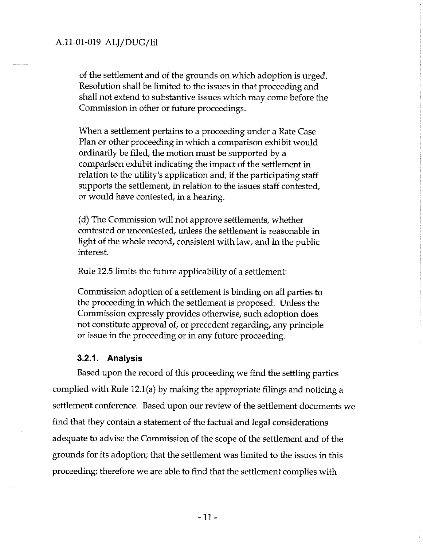of the settlement and of the grounds on which adoption is urged. Resolution shall be limited to the issues in that proceeding and shall not extend to substantive issues which may come before the Commission in other or future proceedings.

When a settlement pertains to a proceeding under a Rate Case Plan or other proceeding in which a comparison exhibit would ordinarily be filed, the motion must be supported by a comparison exhibit indicating the impact of the settlement in relation to the utility's application and, if the participating staff supports the settlement, in relation to the issues staff contested, or would have contested, in a hearing.

(d) The Commission will not approve settlements, whether contested or uncontested, unless the settlement is reasonable in light of the whole record, consistent with law, and in the public interest.

Rule 12.5 limits the future applicability of a settlement:

Commission adoption of a settlement is binding on all parties to the proceeding in which the settlement is proposed. Unless the Commission expressly provides otherwise, such adoption does not constitute approval of, or precedent regarding, any principle or issue in the proceeding or in any future proceeding.

#### **3.2.1. Analysis**

Based upon the record of this proceeding we find the settling parties complied with Rule 12.l(a) by making the appropriate filings and noticing a settlement conference. Based upon our review of the settlement documents we find that they contain a statement of the factual and legal considerations adequate to advise the Commission of the scope of the settlement and of the grounds for its adoption; that the settlement was limited to the issues in this proceeding; therefore we are able to find that the settlement complies with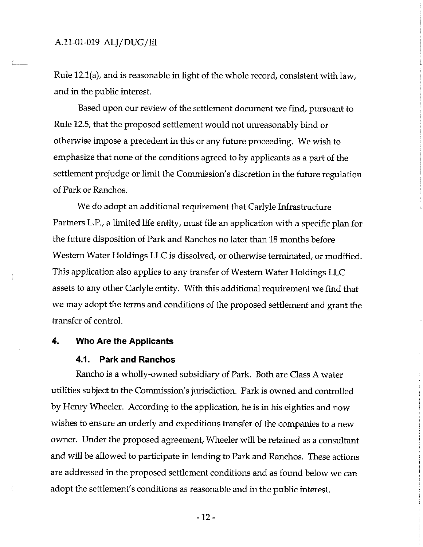Rule 12.l(a), and is reasonable in light of the whole record, consistent with law, and in the public interest.

Based upon our review of the settlement document we find, pursuant to Rule 12.5, that the proposed settlement would not unreasonably bind or otherwise impose a precedent in this or any future proceeding. We wish to emphasize that none of the conditions agreed to by applicants as a part of the settlement prejudge or limit the Commission's discretion in the future regulation of Park or Ranchos.

We do adopt an additional requirement that Carlyle Infrastructure Partners L.P., a limited life entity, must file an application with a specific plan for the future disposition of Park and Ranchos no later than 18 months before Western Water Holdings LLC is dissolved, or otherwise terminated, or modified. This application also applies to any transfer of Western Water Holdings LLC assets to any other Carlyle entity. With this additional requirement we find that we may adopt the terms and conditions of the proposed settlement and grant the transfer of control.

#### **4. Who Are the Applicants**

#### **4.1. Park and Ranchos**

Rancho is a wholly-owned subsidiary of Park. Both are Class A water utilities subject to the Commission's jurisdiction. Park is owned and controlled by Henry Wheeler. According to the application, he is in his eighties and now wishes to ensure an orderly and expeditious transfer of the companies to a new owner. Under the proposed agreement, Wheeler will be retained as a consultant and will be allowed to participate in lending to Park and Ranchos. These actions are addressed in the proposed settlement conditions and as found below we can adopt the settlement's conditions as reasonable and in the public interest.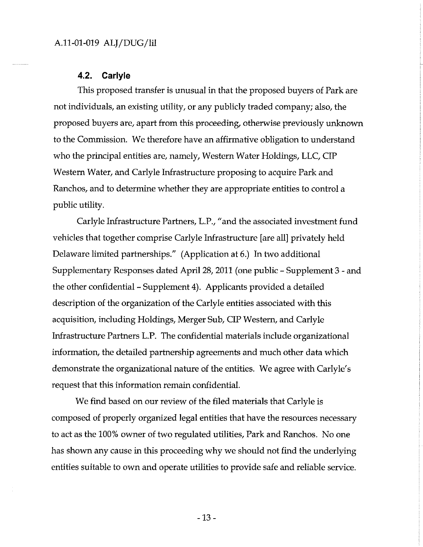#### **4.2. Carlyle**

This proposed transfer is unusual in that the proposed buyers of Park are not individuals, an existing utility, or any publicly traded company; also, the proposed buyers are, apart from this proceeding, otherwise previously unknown to the Commission. We therefore have an affirmative obligation to understand who the principal entities are, namely, Western Water Holdings, LLC, CIP Western Water, and Carlyle Infrastructure proposing to acquire Park and Ranchos, and to determine whether they are appropriate entities to control a public utility.

Carlyle Infrastructure Partners, L.P., "and the associated investment fund vehicles that together comprise Carlyle Infrastructure [are all] privately held Delaware limited partnerships." (Application at 6.) In two additional Supplementary Responses dated April 28, 2011 (one public - Supplement 3 - and the other confidential - Supplement 4). Applicants provided a detailed description of the organization of the Carlyle entities associated with this acquisition, including Holdings, Merger Sub, CIP Western, and Carlyle Infrastructure Partners L.P. The confidential materials include organizational information, the detailed partnership agreements and much other data which demonstrate the organizational nature of the entities. We agree with Carlyle's request that this information remain confidential.

We find based on our review of the filed materials that Carlyle is composed of properly organized legal entities that have the resources necessary to act as the 100% owner of two regulated utilities, Park and Ranchos. No one has shown any cause in this proceeding why we should not find the underlying entities suitable to own and operate utilities to provide safe and reliable service.

-13 -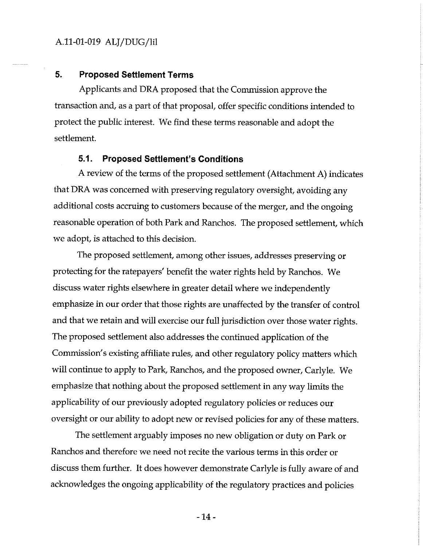#### **5. Proposed Settlement Terms**

Applicants and DRA proposed that the Commission approve the transaction and, as a part of that proposal, offer specific conditions intended to protect the public interest. We find these terms reasonable and adopt the settlement.

#### **5.1. Proposed Settlement's Conditions**

A review of the terms of the proposed settlement (Attachment A) indicates that DRA was concerned with preserving regulatory oversight, avoiding any additional costs accruing to customers because of the merger, and the ongoing reasonable operation of both Park and Ranchos. The proposed settlement, which we adopt, is attached to this decision.

The proposed settlement, among other issues, addresses preserving or protecting for the ratepayers' benefit the water rights held by Ranchos. We discuss water rights elsewhere in greater detail where we independently emphasize in our order that those rights are unaffected by the transfer of control and that we retain and will exercise our full jurisdiction over those water rights. The proposed settlement also addresses the continued application of the Commission's existing affiliate rules, and other regulatory policy matters which will continue to apply to Park, Ranchos, and the proposed owner, Carlyle. We emphasize that nothing about the proposed settlement in any way limits the applicability of our previously adopted regulatory policies or reduces our oversight or our ability to adopt new or revised policies for any of these matters.

The settlement arguably imposes no new obligation or duty on Park or Ranchos and therefore we need not recite the various terms in this order or discuss them further. It does however demonstrate Carlyle is fully aware of and acknowledges the ongoing applicability of the regulatory practices and policies

-14-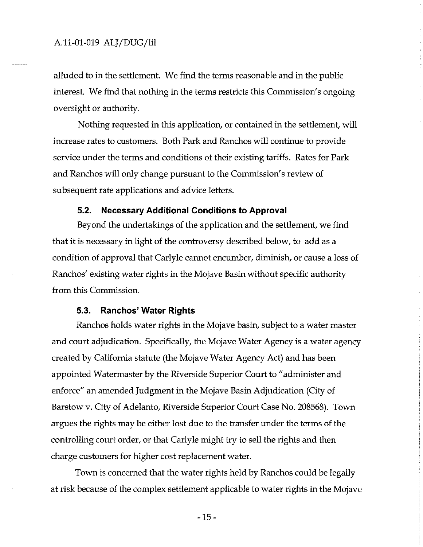alluded to in the settlement. We find the terms reasonable and in the public interest. We find that nothing in the terms restricts this Commission's ongoing oversight or authority.

Nothing requested in this application, or contained in the settlement, will increase rates to customers. Both Park and Ranchos will continue to provide service under the terms and conditions of their existing tariffs. Rates for Park and Ranchos will only change pursuant to the Commission's review of subsequent rate applications and advice letters.

#### **5.2. Necessary Additional Conditions to Approval**

Beyond the undertakings of the application and the settlement, we find that it is necessary in light of the controversy described below, to add as a condition of approval that Carlyle cannot encumber, diminish, or cause a loss of Ranchos' existing water rights in the Mojave Basin without specific authority from this Commission.

#### 5.3. **Ranchos' Water Rights**

Ranchos holds water rights in the Mojave basin, subject to a water master and court adjudication. Specifically, the Mojave Water Agency is a water agency created by California statute (the Mojave Water Agency Act) and has been appointed Watermaster by the Riverside Superior Court to" administer and enforce" an amended Judgment in the Mojave Basin Adjudication (City of Barstow v. City of Adelanto, Riverside Superior Court Case No. 208568). Town argues the rights may be either lost due to the transfer under the terms of the controlling court order, or that Carlyle might try to sell the rights and then charge customers for higher cost replacement water.

Town is concerned that the water rights held by Ranchos could be legally at risk because of the complex settlement applicable to water rights in the Mojave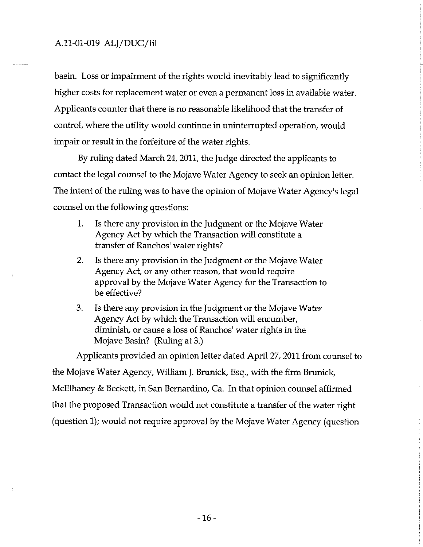basin. Loss or impairment of the rights would inevitably lead to significantly higher costs for replacement water or even a permanent loss in available water. Applicants counter that there is no reasonable likelihood that the transfer of control, where the utility would continue in uninterrupted operation, would impair or result in the forfeiture of the water rights.

By ruling dated March 24, 2011, the Judge directed the applicants to contact the legal counsel to the Mojave Water Agency to seek an opinion letter. The intent of the ruling was to have the opinion of Mojave Water Agency's legal counsel on the following questions:

- 1. Is there any provision in the Judgment or the Mojave Water Agency Act by which the Transaction will constitute a transfer of Ranchos' water rights?
- 2. Is there any provision in the Judgment or the Mojave Water Agency Act, or any other reason, that would require approval by the Mojave Water Agency for the Transaction to be effective?
- 3. Is there any provision in the Judgment or the Mojave Water Agency Act by which the Transaction will encumber, diminish, or cause a loss of Ranchos' water rights in the Mojave Basin? (Ruling at 3.)

Applicants provided an opinion letter dated April 27, 2011 from counsel to the Mojave Water Agency, William J. Brunick, Esq., with the firm Brunick, McElhaney & Beckett, in San Bernardino, Ca. In that opinion counsel affirmed that the proposed Transaction would not constitute a transfer of the water right (question 1); would not require approval by the Mojave Water Agency (question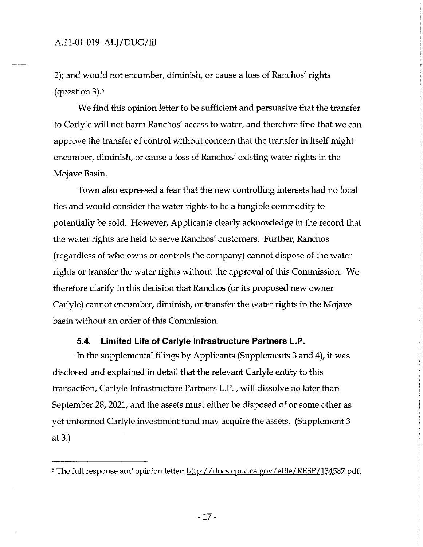2); and would not encumber, diminish, or cause a loss of Ranchos' rights (question 3).6

We find this opinion letter to be sufficient and persuasive that the transfer to Carlyle will not harm Ranchos' access to water, and therefore find that we can approve the transfer of control without concern that the transfer in itself might encumber, diminish, or cause a loss of Ranchos' existing water rights in the Mojave Basin.

Town also expressed a fear that the new controlling interests had no local ties and would consider the water rights to be a fungible commodity to potentially be sold. However, Applicants clearly acknowledge in the record that the water rights are held to serve Ranchos' customers. Further, Ranchos (regardless of who owns or controls the company) cannot dispose of the water rights or transfer the water rights without the approval of this Commission. We therefore clarify in this decision that Ranchos ( or its proposed new owner Carlyle) cannot encumber, diminish, or transfer the water rights in the Mojave basin without an order of this Commission.

#### **5.4. Limited Life of Carlyle Infrastructure Partners L.P.**

In the supplemental filings by Applicants (Supplements 3 and 4), it was disclosed and explained in detail that the relevant Carlyle entity to this transaction, Carlyle Infrastructure Partners L.P. , will dissolve no later than September 28, 2021, and the assets must either be disposed of or some other as yet unformed Carlyle investment fund may acquire the assets. (Supplement 3 at 3.)

<sup>&</sup>lt;sup>6</sup> The full response and opinion letter: http://docs.cpuc.ca.gov/efile/RESP/134587.pdf.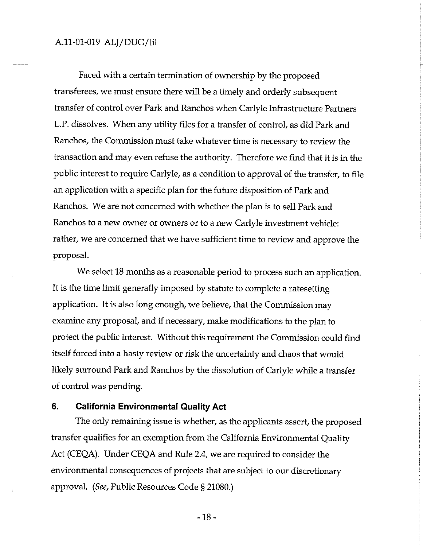Faced with a certain termination of ownership by the proposed transferees, we must ensure there will be a timely and orderly subsequent transfer of control over Park and Ranchos when Carlyle Infrastructure Partners L.P. dissolves. When any utility files for a transfer of control, as did Park and Ranchos, the Commission must take whatever time is necessary to review the transaction and may even refuse the authority. Therefore we find that it is in the public interest to require Carlyle, as a condition to approval of the transfer, to file an application with a specific plan for the future disposition of Park and Ranchos. We are not concerned with whether the plan is to sell Park and Ranchos to a new owner or owners or to a new Carlyle investment vehicle: rather, we are concerned that we have sufficient time to review and approve the proposal.

We select 18 months as a reasonable period to process such an application. It is the time limit generally imposed by statute to complete a ratesetting application. It is also long enough, we believe, that the Commission may examine any proposal, and if necessary, make modifications to the plan to protect the public interest. Without this requirement the Commission could find itself forced into a hasty review or risk the uncertainty and chaos that would likely surround Park and Ranchos by the dissolution of Carlyle while a transfer of control was pending.

#### **6. California Environmental Quality Act**

The only remaining issue is whether, as the applicants assert, the proposed transfer qualifies for an exemption from the California Environmental Quality Act (CEQA). Under CEQA and Rule 2.4, we are required to consider the environmental consequences of projects that are subject to our discretionary approval. *(See,* Public Resources Code§ 21080.)

-18-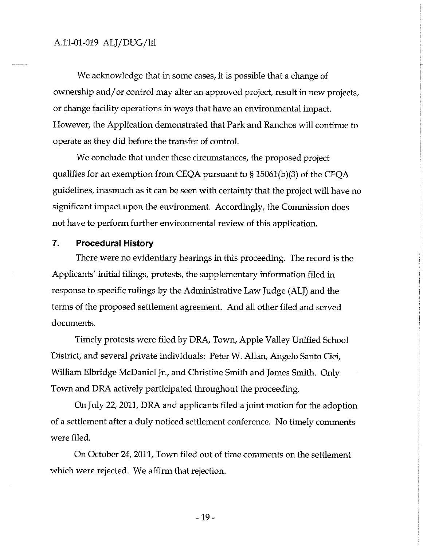We acknowledge that in some cases, it is possible that a change of ownership and/ or control may alter an approved project, result in new projects, or change facility operations in ways that have an environmental impact. However, the Application demonstrated that Park and Ranchos will continue to operate as they did before the transfer of control.

We conclude that under these circumstances, the proposed project qualifies for an exemption from CEQA pursuant to§ 15061(b)(3) of the CEQA guidelines, inasmuch as it can be seen with certainty that the project will have no significant impact upon the environment. Accordingly, the Commission does not have to perform further environmental review of this application.

#### **7. Procedural History**

There were no evidentiary hearings in this proceeding. The record is the Applicants' initial filings, protests, the supplementary information filed in response to specific rulings by the Administrative Law Judge (ALJ) and the terms of the proposed settlement agreement. And all other filed and served documents.

Timely protests were filed by DRA, Town, Apple Valley Unified School District, and several private individuals: Peter W. Allan, Angelo Santo Cici, William Elbridge McDaniel Jr., and Christine Smith and James Smith. Only Town and DRA actively participated throughout the proceeding.

On July 22, 2011, DRA and applicants filed a joint motion for the adoption of a settlement after a duly noticed settlement conference. No timely comments were filed.

On October 24, 2011, Town filed out of time comments on the settlement which were rejected. We affirm that rejection.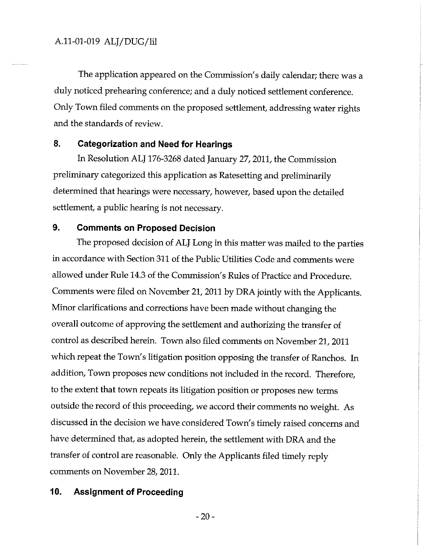The application appeared on the Commission's daily calendar; there was a duly noticed prehearing conference; and a duly noticed settlement conference. Only Town filed comments on the proposed settlement, addressing water rights and the standards of review.

#### 8. **Categorization and Need for Hearings**

In Resolution ALJ 176-3268 dated January 27, 2011, the Commission preliminary categorized this application as Ratesetting and preliminarily determined that hearings were necessary, however, based upon the detailed settlement, a public hearing is not necessary.

## **9. Comments on Proposed Decision**

The proposed decision of ALJ Long in this matter was mailed to the parties in accordance with Section 311 of the Public Utilities Code and comments were allowed under Rule 14.3 of the Commission's Rules of Practice and Procedure. Comments were filed on November 21, 2011 by DRA jointly with the Applicants. Minor clarifications and corrections have been made without changing the overall outcome of approving the settlement and authorizing the transfer of control as described herein. Town also filed comments on November 21, 2011 which repeat the Town's litigation position opposing the transfer of Ranchos. In addition, Town proposes new conditions not included in the record. Therefore, to the extent that town repeats its litigation position or proposes new terms outside the record of this proceeding, we accord their comments no weight. As discussed in the decision we have considered Town's timely raised concerns and have determined that, as adopted herein, the settlement with DRA and the transfer of control are reasonable. Only the Applicants filed timely reply comments on November 28, 2011.

#### **10. Assignment of Proceeding**

-20-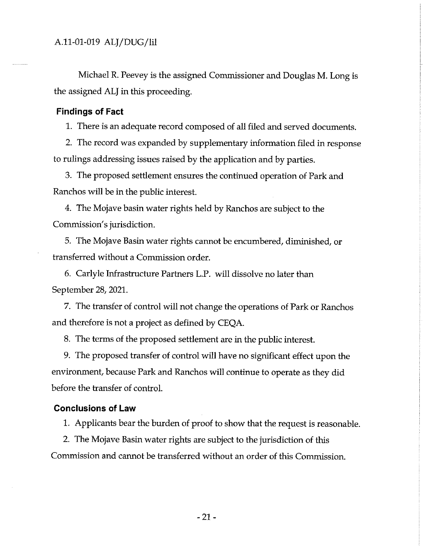Michael R. Peevey is the assigned Commissioner and Douglas M. Long is the assigned ALJ in this proceeding.

#### **Findings of Fact**

1. There is an adequate record composed of all filed and served documents.

2. The record was expanded by supplementary information filed in response to rulings addressing issues raised by the application and by parties.

3. The proposed settlement ensures the continued operation of Park and Ranchos will be in the public interest.

4. The Mojave basin water rights held by Ranchos are subject to the Commission's jurisdiction.

5. The Mojave Basin water rights cannot be encumbered, diminished, or transferred without a Commission order.

6. Carlyle Infrastructure Partners L.P. will dissolve no later than September 28, 2021.

7. The transfer of control will not change the operations of Park or Ranchos and therefore is not a project as defined by CEQA.

8. The terms of the proposed settlement are in the public interest.

9. The proposed transfer of control will have no significant effect upon the environment, because Park and Ranchos will continue to operate as they did before the transfer of control.

#### **Conclusions of Law**

1. Applicants bear the burden of proof to show that the request is reasonable.

2. The Mojave Basin water rights are subject to the jurisdiction of this Commission and cannot be transferred without an order of this Commission.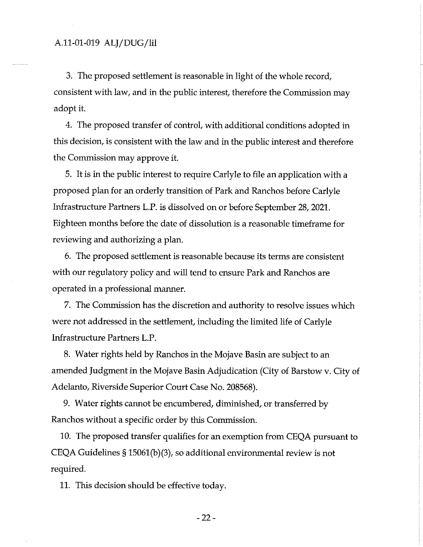3. The proposed settlement is reasonable in light of the whole record, consistent with law, and in the public interest, therefore the Commission may adopt it.

4. The proposed transfer of control, with additional conditions adopted in this decision, is consistent with the law and in the public interest and therefore the Commission may approve it.

5. It is in the public interest to require Carlyle to file an application with a proposed plan for an orderly transition of Park and Ranchos before Carlyle Infrastructure Partners L.P. is dissolved on or before September 28, 2021. Eighteen months before the date of dissolution is a reasonable timeframe for reviewing and authorizing a plan.

6. The proposed settlement is reasonable because its terms are consistent with our regulatory policy and will tend to ensure Park and Ranchos are operated in a professional manner.

7. The Commission has the discretion and authority to resolve issues which were not addressed in the settlement, including the limited life of Carlyle Infrastructure Partners L.P.

8. Water rights held by Ranchos in the Mojave Basin are subject to an amended Judgment in the Mojave Basin Adjudication (City of Barstow v. City of Adelanto, Riverside Superior Court Case No. 208568).

9. Water rights cannot be encumbered, diminished, or transferred by Ranchos without a specific order by this Commission.

10. The proposed transfer qualifies for an exemption from CEQA pursuant to CEQA Guidelines§ 15061(b)(3), so additional environmental review is not required.

11. This decision should be effective today.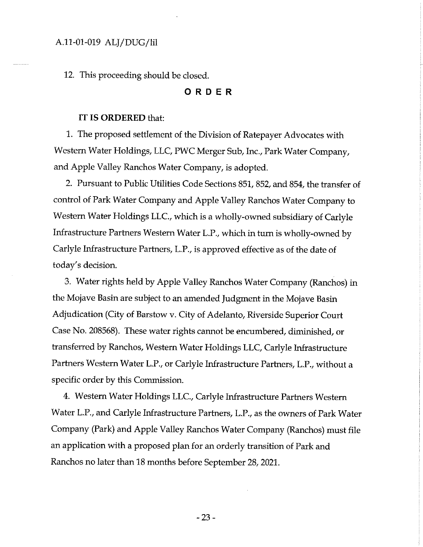12. This proceeding should be closed.

#### **ORDER**

#### IT IS **ORDERED** that:

1. The proposed settlement of the Division of Ratepayer Advocates with Western Water Holdings, LLC, PWC Merger Sub, Inc., Park Water Company, and Apple Valley Ranchos Water Company, is adopted.

2. Pursuant to Public Utilities Code Sections 851, 852, and 854, the transfer of control of Park Water Company and Apple Valley Ranchos Water Company to Western Water Holdings LLC., which is a wholly-owned subsidiary of Carlyle Infrastructure Partners Western Water L.P., which in tum is wholly-owned by Carlyle Infrastructure Partners, L.P., is approved effective as of the date of today's decision.

3. Water rights held by Apple Valley Ranchos Water Company (Ranchos) in the Mojave Basin are subject to an amended Judgment in the Mojave Basin Adjudication (City of Barstow v. City of Adelanto, Riverside Superior Court Case No. 208568). These water rights cannot be encumbered, diminished, or transferred by Ranchos, Western Water Holdings LLC, Carlyle Infrastructure Partners Western Water L.P., or Carlyle Infrastructure Partners, L.P., without a specific order by this Commission.

4. Western Water Holdings LLC., Carlyle Infrastructure Partners Western Water L.P., and Carlyle Infrastructure Partners, L.P., as the owners of Park Water Company (Park) and Apple Valley Ranchos Water Company (Ranchos) must file an application with a proposed plan for an orderly transition of Park and Ranchos no later than 18 months before September 28, 2021.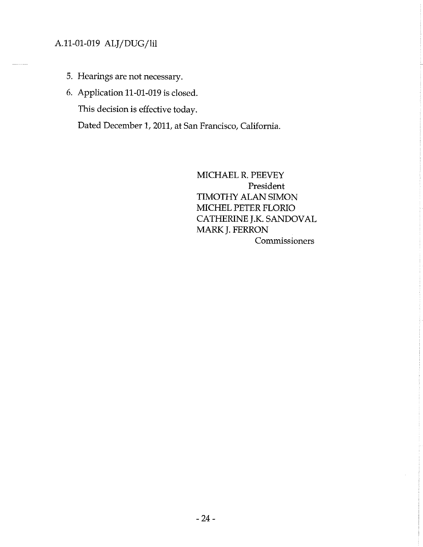- 5. Hearings are not necessary.
- 6. Application 11-01-019 is closed.

This decision is effective today.

Dated December 1, 2011, at San Francisco, California.

MICHAEL R. PEEVEY President TIMOTHY ALAN SIMON MICHEL PETER FLORIO CATHERINE J.K. SANDOVAL MARK J. FERRON Commissioners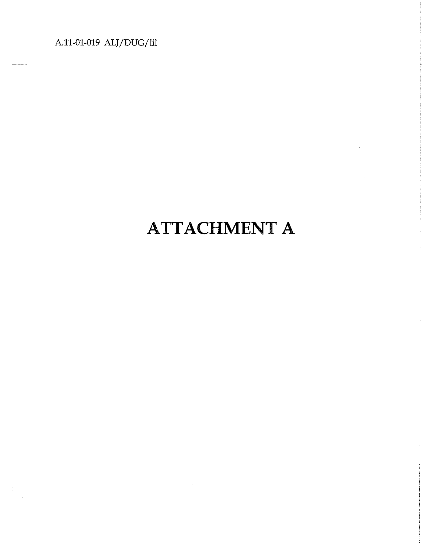$\frac{1}{3}$ 

# **ATTACHMENT A**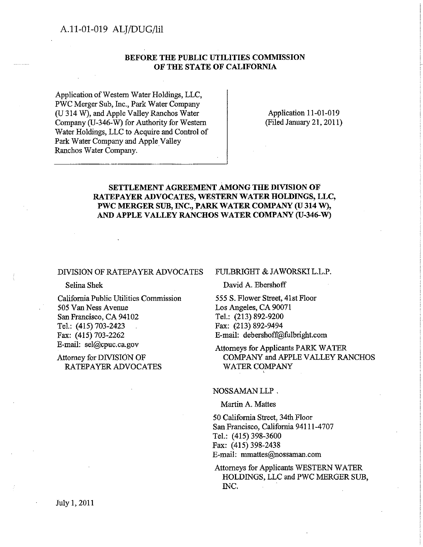#### **BEFORE THE PUBLIC UTILITIES COMMISSION OF THE STATE OF CALIFORNIA**

Application of Western Water Holdings, LLC, PWC Merger Sub, Inc., Park Water Company (U 314 W), and Apple Valley Ranchos Water Company (U-346-W) for Authority for Western Water Holdings, LLC to Acquire and Control of Park Water Company and Apple Valley Ranchos Water Company.

Application 11-01-019 (Filed January 21, 2011)

#### **SETTLEMENT AGREEMENT AMONG THE DIVISION OF RATEPAYER ADVOCATES, WESTERN WATER HOLDINGS, LLC, PWC MERGER SUB,** INC., **PARK WATER COMPANY (U 314 W),**  AND APPLE VALLEY RANCHOS WATER COMPANY (U-346-W)

#### DIVISION OF RATEPAYER ADVOCATES

Selina Shek

California Public Utilities Commission 505 Van Ness Avenue San Francisco, CA 94102 Tel.: (415) 703-2423 Fax: (415) 703-2262 E-mail: sel@cpuc.ca.gov

#### Attorney for DNISION OF RATEPAYER ADVOCATES

#### FULBRIGHT & JAWORSKI L.L.P.

David A. Ebershoff

555 S. Flower Street, 41st Floor Los Angeles, CA 90071 Tel.: (213) 892-9200 Fax: (213) 892-9494 E-mail: debershoff@fulbright.com

'

Attorneys for Applicants PARK WATER COMPANY and APPLE VALLEY RANCHOS WATER COMPANY

#### NOSSAMAN LLP .

Martin A. Mattes

50 California Street, 34th Floor San Francisco, California 94111-4707 Tel.: (415) 398-3600 Fax: (415) 398-2438 E-mail: mmattes@nossaman.com

Attorneys for Applicants WESTERN WATER HOLDINGS, LLC and PWC MERGER SUB, INC.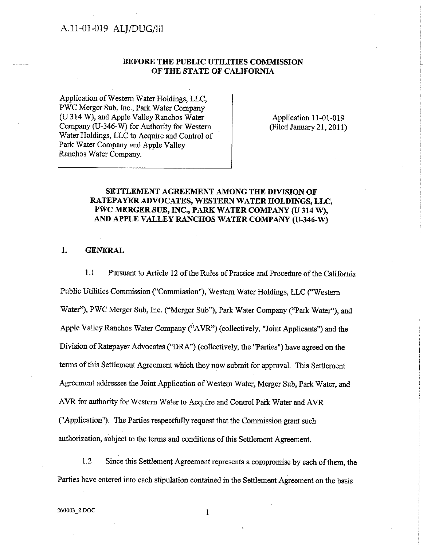#### **BEFORE THE PUBLIC UTILITIES COMMISSION OF THE STATE OF CALIFORNIA**

Application of Western Water Holdings, LLC, PWC Merger Sub, Inc., Park Water Company (U 314 W), and Apple Valley Ranchos Water Company (U-346-W) for Authority for Western Water Holdings, LLC to Acquire and Control of Park Water Company and Apple Valley Ranchos Water Company.

Application 11-01-019 (Filed January 21, 2011)

#### **SETTLEMENT AGREEMENT AMONG THE DIVISION OF RATEPAYER ADVOCATES, WESTERN WATER HOLDINGS, LLC, PWC MERGERSUB, INC., PARK WATER COMPANY (U 314 W),**  AND APPLE VALLEY RANCHOS WATER COMPANY (U-346-W)

**1. GENERAL** 

1.1 Pursuant to Article 12 of the Rules of Practice and Procedure of the California Public Utilities Commission ("Commission"), Western Water Holdings, LLC ("Western Water"), PWC Merger Sub, Inc. ("Merger Sub"), Park Water Company ("Park Water''), and Apple Valley Ranchos Water Company ("AVR") (collectively, "Joint Applicants") and the Division of Ratepayer Advocates ("DRA") ( collectively, the "Parties") have agreed on the terms of this Settlement Agreement which they now submit for approval. This Settlement Agreement addresses the Joint Application of Western Water, Merger Sub, Park Water, and AVR for authority for Western Water to Acquire and Control Park Water and AVR ("Application"). The Parties respectfully request that the Commission grant such authorization, subject to the terms and conditions of this Settlement Agreement.

1.2 Since this Settlement Agreement represents a compromise by each of them, the Parties have entered into each stipulation contained in the Settlement Agreement on the basis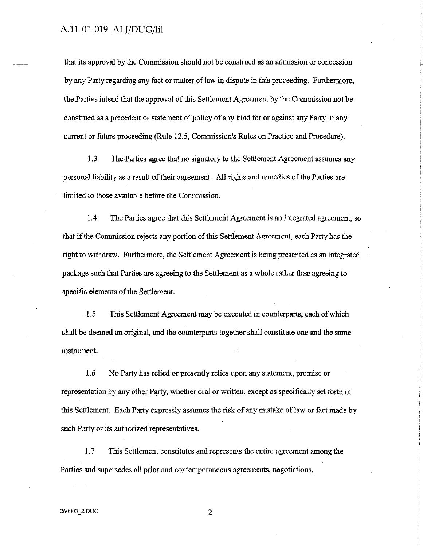that its approval by the Commission should not be construed as an admission or concession by any Party regarding any fact or matter of law in dispute in this proceeding. Furthermore, the Parties intend that the approval of this Settlement Agreement by the Commission not be construed as a precedent or statement of policy of any kind for or against any Party in any current or future proceeding (Rule 12.5, Commission's Rules on Practice and Procedure).

1.3 The Parties agree that no signatory to the Settlement Agreement assumes any personal liability as a result of their agreement. All rights and remedies of the Parties are limited to those available before the Commission.

1.4 The Parties agree that this Settlement Agreement is an integrated agreement, so that if the Commission rejects any portion of this Settlement Agreement, each Party has the right to withdraw. Furthermore, the Settlement Agreement is being presented as an integrated package such that Parties are agreeing to the Settlement as a whole rather than agreeing to specific elements of the Settlement.

1.5 This Settlement Agreement may be executed in counterparts, each of which shall be deemed an original, and the counterparts together shall constitute one and the same instrument.

1.6 No Party has relied or presently relies upon any statement, promise or representation by any other Party, whether oral or written, except as specifically set forth in this Settlement. Each Party expressly assumes the risk of any mistake of law or fact made by such Party or its authorized representatives.

1.7 This Settlement constitutes and represents the entire agreement among the Parties and supersedes all prior and contemporaneous agreements, negotiations,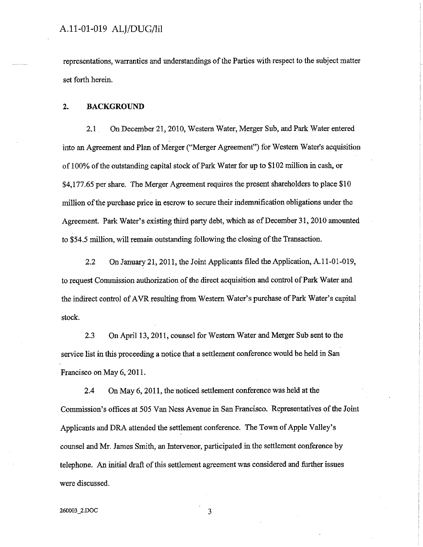representations, warranties and understandings of the Parties with respect to the subject matter set forth herein.

#### 2. **BACKGROUND**

2.1 On December 21, 2010, Western Water, Merger Sub, and Park Water entered into an Agreement and Plan of Merger ("Merger Agreement") for Western Water's acquisition of 100% of the outstanding capital stock of Park Water for up to \$102 million in cash, or \$4,177.65 per share. The Merger Agreement requires the present shareholders to place \$10 million of the purchase price in escrow to secure their indemnification obligations under the Agreement. Park Water's existing third party debt, which as of December 31, 2010 amounted to \$54.5 million, will remain outstanding following the closing of the Transaction.

2.2 On January 21, 2011, the Joint Applicants filed the Application, A.11-01-019, to request Commission authorization of the direct acquisition and control of Park Water and the indirect control of AVR resulting from Western Water's purchase of Park Water's capital stock.

2.3 On April 13, 2011, counsel for Western Water and Merger Sub sent to the service list in this proceeding a notice that a settlement conference would be held in San Francisco on May 6, 2011.

2.4 On May 6, 2011, the noticed settlement conference was held at the Commission's offices at *505* Van Ness Avenue in San Francisco. Representatives of the Joint Applicants and DRA attended the settlement conference. The Town of Apple Valley's counsel and Mr. James Smith, an Jntervenor, participated in the settlement conference by telephone. An initial draft of this settlement agreement was considered and further issues were discussed.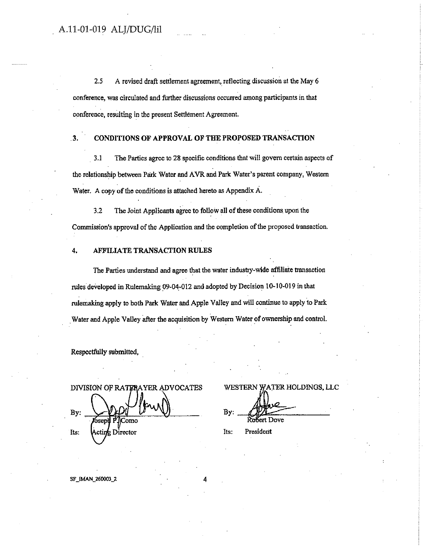2.5 A revised draft settlement agreement, reflecting discussion at the May 6 conference, was circulated and further discussions occurred among participants in that conference, resulting in the present Settlement Agreement.

#### . 3. CONDITIONS OF APPROVAL OF THE PROPOSED TRANSACTION

3.1 The Parties agree to 28 specific conditions that will govern certain aspects of the relationship between Park Water and A VR and Park Water's parent company, Western Water. A copy of the conditions is attached hereto as Appendix A.

3.2 The Joint Applicants agree to follow all of these conditions upon the Commission's approval of the Application and the completion of the proposed transaction.

#### 4. AFFILIATE TRANSACTION RULES

The Parties understand and agree that the water industry-wide affiliate transaction rules developed in Rulemaking 09-04-012 and adopted by Decision 10-l0-019 in that rulemaking apply to both Park Water and Apple Valley and will continue to apply to Park . Water and Apple Valley after the acquisition by Western Water of ownership and control.

Respectfully submitted, .

DIVISION OF RATERAYER ADVOCATES  $B$ y:  $\frac{1}{\sqrt{2}}$ Its: Acting Director Its: President

WESTERN WATER HOLDINGS, LLC By: Robert Dove

SF\_IMAN\_260003\_2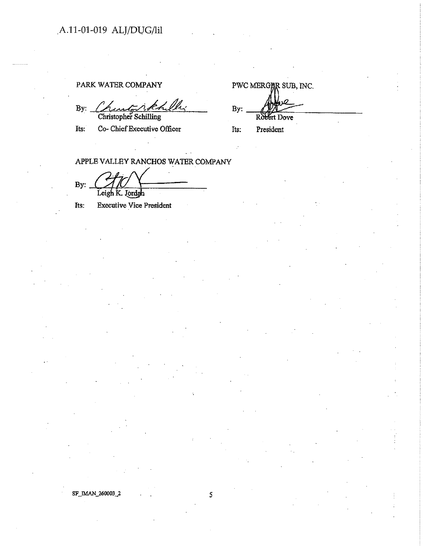## PARK WATER COMPANY

By:  $\frac{\sqrt{2\pi\sqrt{2\pi}}\hat{c}\hat{c}}{\text{Christopher Schilling}}}$  By:

Its: Co- Chief Executive Officer

PWC MERGIAR SUB, INC.  $By:$   $\frac{dy}{dx}$ Ro<del>be</del>rt Dove

Its: President

APPLE VALLEY RANCHOS WATER COMPANY

By:  $\underbrace{\bigcup_{\text{Leigh K. Jordgh}}}\bigcup$ 

Its: Executive Vice President

SF \_JMAN \_260003 \_2 5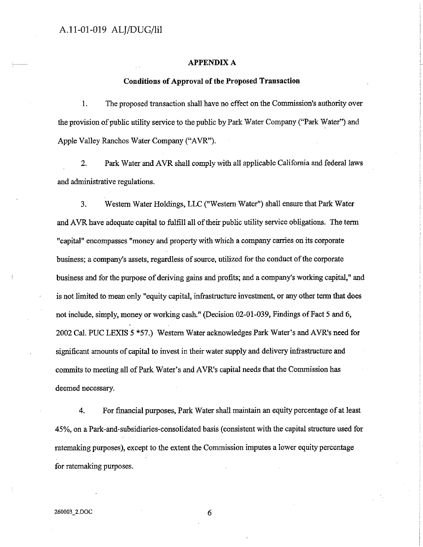#### **APPENDIX A**

#### **Conditions of Approval of the Proposed Transaction**

1. The proposed transaction shall have no effect on the Commission's authority over the provision of public utility service to the public by Park Water Company ("Park Water") and Apple Valley Ranchos Water Company ("AVR").

2. Park Water and AVR shall comply with all applicable California and federal laws and administrative regulations.

3. Western Water Holdings, LLC ("Western Water") shall ensure that Park Water and AVR have adequate capital to fulfill all of their public utility service obligations. The term "capital" encompasses "money and property with which a company carries on its corporate business; a company's assets, regardless of source, utilized for the conduct of the corporate business and for the purpose of deriving gains and profits; and a company's working capital," and is not limited to mean only "equity capital, infrastructure investment, or any other term that does not include, simply, money or working cash." (Decision 02-01-039, Findings of Fact 5 and 6, 2002 Cal. PUC LEXIS 5 \*57.) Western Water acknowledges Park Water's and AVR's need for significant amounts of capital to invest in their water supply and delivery infrastructure and commits to meeting all of Park Water's and AVR's capital needs that the Commission has deemed necessary.

4. For financial purposes, Park Water shall maintain an equity percentage of at least 45%, on a Park-and-subsidiaries-consolidated basis (consistent with the capital structure used for ratemaking purposes), except to the extent the Commission imputes a lower equity percentage for ratemaking purposes.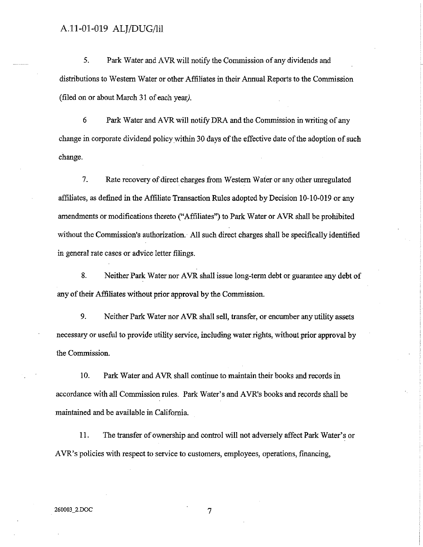5. Park Water and A VR will notify the Commission of any dividends and distributions to Western Water or other Affiliates in their Annual Reports to the Commission (filed on or about March 31 of each year).

6 Park Water and A VR will notify DRA and the Commission in writing of any change in corporate dividend policy within 30 days of the effective date of the adoption of such change.

7. Rate recovery of direct charges from W estem Water or any other unregulated affiliates, as defined in the Affiliate Transaction Rules adopted by Decision 10-10-019 or any amendments or modifications thereto ("Affiliates") to Park Water or AVR shall be prohibited without the Commission's authorization.· All such direct charges shall be specifically identified in general rate cases or advice letter filings.

8. Neither Park Water nor AVR shall issue long-term debt or guarantee any debt of any of their Affiliates without prior approval by the Commission.

9. Neither Park Water nor AVR shall sell, transfer, or encumber any utility assets necessary or useful to provide utility service, including water rights, without prior approval by the Commission.

10. Park Water and AVR shall continue to maintain their books and records in accordance with all Commission rules. Park Water's and A VR's books and records shall be maintained and be available in California.

11. The transfer of ownership and control will not adversely affect Park Water's or AVR's policies with respect to service to customers, employees, operations, financing,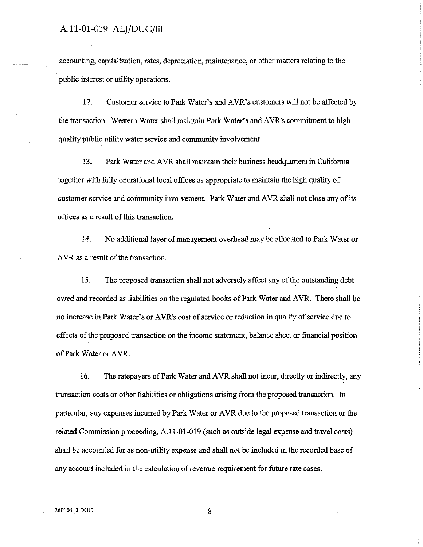accounting, capitalization, rates, depreciation, maintenance, or other matters relating to the public interest or utility operations.

12. Customer service to Park Water's and AVR's customers will not be affected by the transaction. Western Water shall maintain Park Water's and AVR's commitment to high quality public utility water service and community involvement.

13. Park Water and AVR shall maintain their business headquarters in California together with fully operational local offices as appropriate to maintain the high quality of customer service and community involvement. Park Water and AVR shall not close any of its offices as a result of this transaction.

14. No additional layer of management overhead may be allocated to Park Water or AVR as a result of the transaction.

15. The proposed transaction shall not adversely affect any of the outstanding debt owed and recorded as liabilities on the regulated books of Park Water and AVR. There shall be no increase in Park Water's or AVR's cost of service or reduction in quality of service due to effects of the proposed transaction on the income statement, balance sheet or financial position of Park Water or AVR.

16. The ratepayers of Park Water and AVR shall not incur, directly or indirectly, any transaction costs or other liabilities or obligations arising from the proposed transaction. In particular, any expenses incurred by Park Water or A VR due to the proposed transaction or the related Commission proceeding, A.11-01-019 (such as outside legal expense and travel costs) shall be accounted for as non-utility expense and shall not be included in the recorded base of any account included in the calculation of revenue requirement for future rate cases.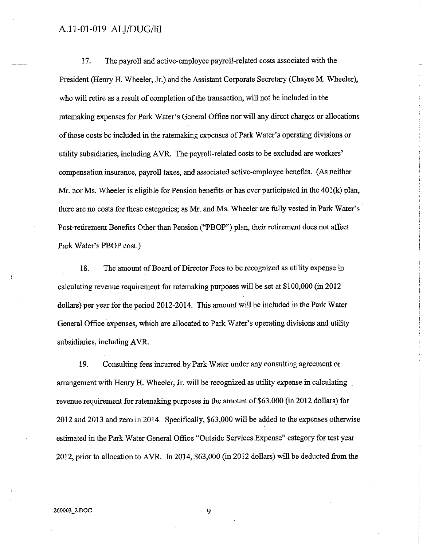17. The payroll and active-employee payroll-related costs associated with the President (Henry H. Wheeler, Jr.) and the Assistant Corporate Secretary (Chayre M. Wheeler), who will retire as a result of completion of the transaction, will not be included in the ratemaking expenses for Park Water's General Office nor will any direct charges or allocations of those costs be included in the ratemaking expenses of Park Water's operating divisions or utility subsidiaries, including A VR. The payroll-related costs to be excluded are workers' compensation insurance, payroll taxes, and associated active-employee benefits. (As neither Mr. nor Ms. Wheeler is eligible for Pension benefits or has ever participated in the 40l(k) plan, there are no costs for these categories; as Mr. and Ms. Wheeler are fully vested in Park Water's Post-retirement Benefits Other than Pension ("PBOP") plan, their retirement does not affect Park Water's PBOP cost.)

18. The amount of Board of Director Fees to be recognized as utility expense in calculating revenue requirement for ratemaking purposes will be set at \$100,000 (in 2012 dollars) per year for the period 2012-2014. This amount will be included in the Park Water General Office expenses, which are allocated to Park Water's operating divisions and utility subsidiaries, including AVR.

19. Consulting fees incurred by Park Water under any consulting agreement or arrangement with Henry H. Wheeler, Jr. will be recognized as utility expense in calculating revenue requirement for ratemaking purposes in the amount of \$63,000 (in 2012 dollars) for 2012 and 2013 and zero in 2014. Specifically, \$63,000 will be added to the expenses otherwise estimated in the Park Water General Office "Outside Services Expense" category for test year 2012, prior to allocation to AVR. In 2014, \$63,000 (in 2012 dollars) will be deducted from the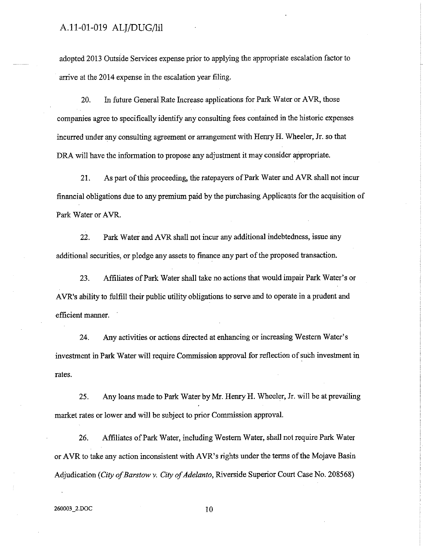adopted 2013 Outside Services expense prior to applying the appropriate escalation factor to arrive at the 2014 expense in the escalation year filing.

20. In future General Rate Increase applications for Park Water or AVR, those companies agree to specifically identify any consulting fees contained in the historic expenses incurred under any consulting agreement or arrangement with Henry H. Wheeler, Jr. so that DRA will have the information to propose any adjustment it may consider appropriate.

21. As part of this proceeding, the ratepayers of Park Water and AVR shall not incur financial obligations due to any premium paid by the purchasing Applicants for the acquisition of Park Water or AVR.

22. Park Water and AVR shall not incur any additional indebtedness, issue any additional securities, or pledge any assets to finance any part of the proposed transaction.

23. Affiliates of Park Water shall take no actions that would impair Park Water's or A VR's ability to fulfill their public utility obligations to serve and to operate in a prudent and efficient manner.

24. Any activities or actions directed at enhancing or increasing Western Water's investment in Park Water will require Commission approval for reflection of such investment in rates.

25. Any loans made to Park Water by Mr. Henry H. Wheeler, Jr. will be at prevailing market rates or lower and will be subject to prior Commission approval.

26. Affiliates of Park Water, including Western Water, shall not require Park Water or AVR to take any action inconsistent with AVR's rights under the terms of the Mojave Basin Adjudication ( *City of Barstow y. City of Adelanto,* Riverside Superior Court Case No. 208568)